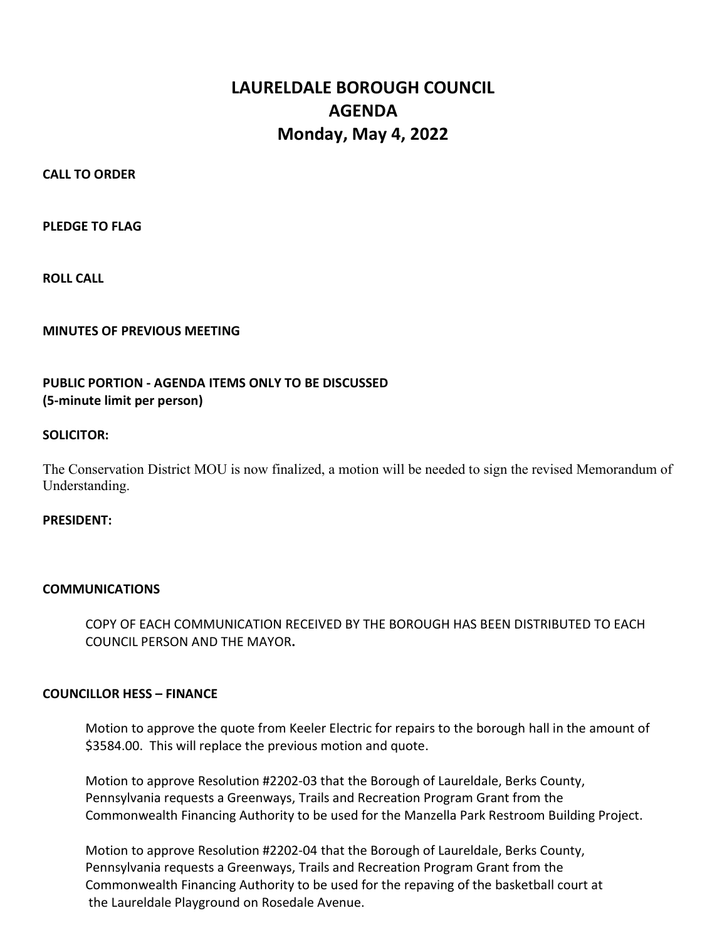# LAURELDALE BOROUGH COUNCIL AGENDA Monday, May 4, 2022

CALL TO ORDER

PLEDGE TO FLAG

ROLL CALL

MINUTES OF PREVIOUS MEETING

# PUBLIC PORTION - AGENDA ITEMS ONLY TO BE DISCUSSED (5-minute limit per person)

# SOLICITOR:

The Conservation District MOU is now finalized, a motion will be needed to sign the revised Memorandum of Understanding.

# PRESIDENT:

# **COMMUNICATIONS**

 COPY OF EACH COMMUNICATION RECEIVED BY THE BOROUGH HAS BEEN DISTRIBUTED TO EACH COUNCIL PERSON AND THE MAYOR.

# COUNCILLOR HESS – FINANCE

Motion to approve the quote from Keeler Electric for repairs to the borough hall in the amount of \$3584.00. This will replace the previous motion and quote.

Motion to approve Resolution #2202-03 that the Borough of Laureldale, Berks County, Pennsylvania requests a Greenways, Trails and Recreation Program Grant from the Commonwealth Financing Authority to be used for the Manzella Park Restroom Building Project.

Motion to approve Resolution #2202-04 that the Borough of Laureldale, Berks County, Pennsylvania requests a Greenways, Trails and Recreation Program Grant from the Commonwealth Financing Authority to be used for the repaving of the basketball court at the Laureldale Playground on Rosedale Avenue.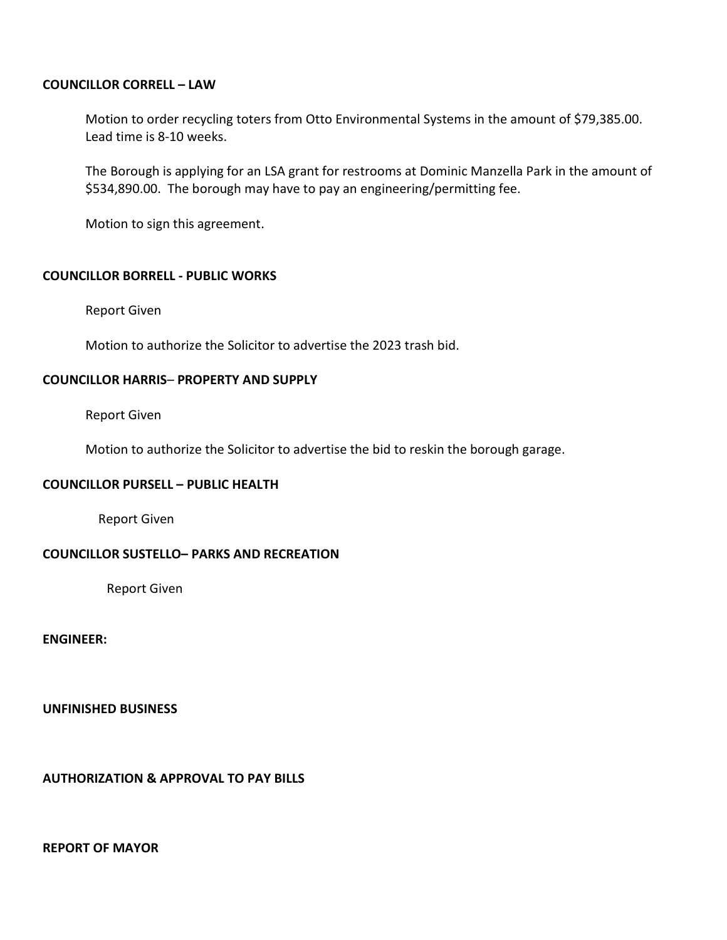#### COUNCILLOR CORRELL – LAW

Motion to order recycling toters from Otto Environmental Systems in the amount of \$79,385.00. Lead time is 8-10 weeks.

The Borough is applying for an LSA grant for restrooms at Dominic Manzella Park in the amount of \$534,890.00. The borough may have to pay an engineering/permitting fee.

Motion to sign this agreement.

#### COUNCILLOR BORRELL - PUBLIC WORKS

Report Given

Motion to authorize the Solicitor to advertise the 2023 trash bid.

#### COUNCILLOR HARRIS– PROPERTY AND SUPPLY

Report Given

Motion to authorize the Solicitor to advertise the bid to reskin the borough garage.

#### COUNCILLOR PURSELL – PUBLIC HEALTH

Report Given

# COUNCILLOR SUSTELLO– PARKS AND RECREATION

Report Given

ENGINEER:

UNFINISHED BUSINESS

AUTHORIZATION & APPROVAL TO PAY BILLS

# REPORT OF MAYOR